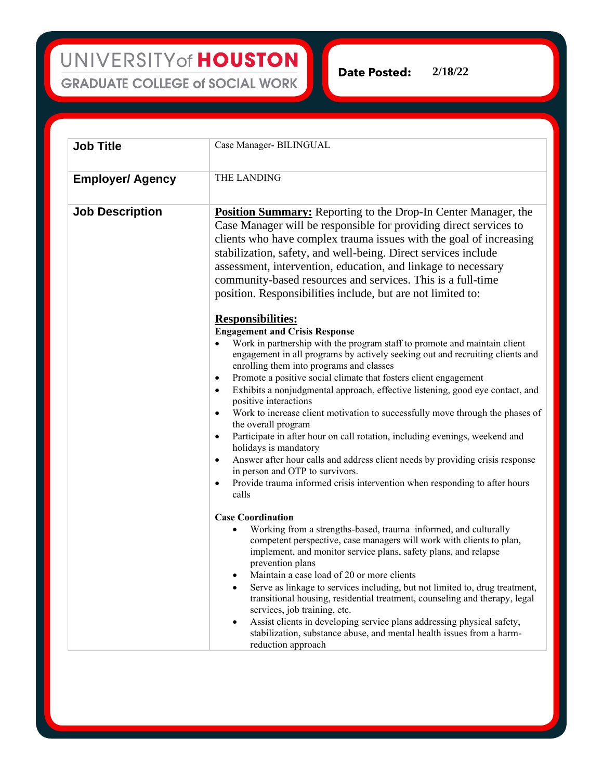UNIVERSITY of HOUSTON **GRADUATE COLLEGE of SOCIAL WORK** 

**2/18/22**Date Posted:

**Job Title** Case Manager- BILINGUAL **Employer/ Agency THE LANDING Job Description Position Summary:** Reporting to the Drop-In Center Manager, the Case Manager will be responsible for providing direct services to clients who have complex trauma issues with the goal of increasing stabilization, safety, and well-being. Direct services include assessment, intervention, education, and linkage to necessary community-based resources and services. This is a full-time position. Responsibilities include, but are not limited to: **Responsibilities: Engagement and Crisis Response** Work in partnership with the program staff to promote and maintain client engagement in all programs by actively seeking out and recruiting clients and enrolling them into programs and classes Promote a positive social climate that fosters client engagement • Exhibits a nonjudgmental approach, effective listening, good eye contact, and positive interactions Work to increase client motivation to successfully move through the phases of the overall program • Participate in after hour on call rotation, including evenings, weekend and holidays is mandatory • Answer after hour calls and address client needs by providing crisis response in person and OTP to survivors. • Provide trauma informed crisis intervention when responding to after hours calls **Case Coordination** • Working from a strengths-based, trauma–informed, and culturally competent perspective, case managers will work with clients to plan, implement, and monitor service plans, safety plans, and relapse prevention plans • Maintain a case load of 20 or more clients Serve as linkage to services including, but not limited to, drug treatment, transitional housing, residential treatment, counseling and therapy, legal services, job training, etc. Assist clients in developing service plans addressing physical safety, stabilization, substance abuse, and mental health issues from a harmreduction approach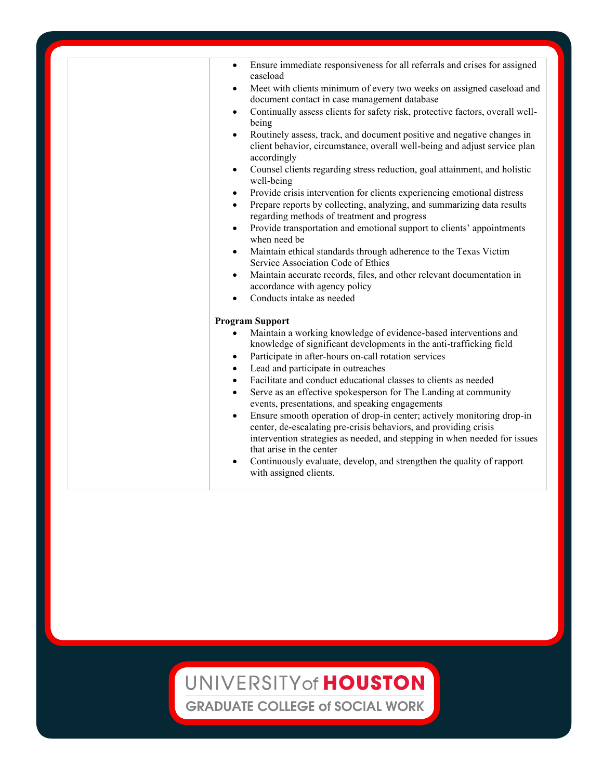| Ensure immediate responsiveness for all referrals and crises for assigned<br>$\bullet$<br>caseload                                                                                                                                                               |
|------------------------------------------------------------------------------------------------------------------------------------------------------------------------------------------------------------------------------------------------------------------|
| Meet with clients minimum of every two weeks on assigned caseload and<br>document contact in case management database                                                                                                                                            |
| Continually assess clients for safety risk, protective factors, overall well-<br>$\bullet$<br>being                                                                                                                                                              |
| Routinely assess, track, and document positive and negative changes in<br>$\bullet$<br>client behavior, circumstance, overall well-being and adjust service plan<br>accordingly                                                                                  |
| Counsel clients regarding stress reduction, goal attainment, and holistic<br>٠<br>well-being                                                                                                                                                                     |
| Provide crisis intervention for clients experiencing emotional distress<br>$\bullet$<br>Prepare reports by collecting, analyzing, and summarizing data results<br>$\bullet$<br>regarding methods of treatment and progress                                       |
| Provide transportation and emotional support to clients' appointments<br>$\bullet$<br>when need be                                                                                                                                                               |
| Maintain ethical standards through adherence to the Texas Victim<br>٠<br>Service Association Code of Ethics                                                                                                                                                      |
| Maintain accurate records, files, and other relevant documentation in<br>$\bullet$<br>accordance with agency policy                                                                                                                                              |
| Conducts intake as needed<br>$\bullet$                                                                                                                                                                                                                           |
| <b>Program Support</b>                                                                                                                                                                                                                                           |
| Maintain a working knowledge of evidence-based interventions and<br>knowledge of significant developments in the anti-trafficking field<br>Participate in after-hours on-call rotation services<br>$\bullet$<br>Lead and participate in outreaches<br>$\bullet$  |
| Facilitate and conduct educational classes to clients as needed<br>$\bullet$<br>Serve as an effective spokesperson for The Landing at community<br>$\bullet$<br>events, presentations, and speaking engagements                                                  |
| Ensure smooth operation of drop-in center; actively monitoring drop-in<br>$\bullet$<br>center, de-escalating pre-crisis behaviors, and providing crisis<br>intervention strategies as needed, and stepping in when needed for issues<br>that arise in the center |
| Continuously evaluate, develop, and strengthen the quality of rapport<br>$\bullet$<br>with assigned clients.                                                                                                                                                     |

## UNIVERSITY of HOUSTON

**GRADUATE COLLEGE of SOCIAL WORK**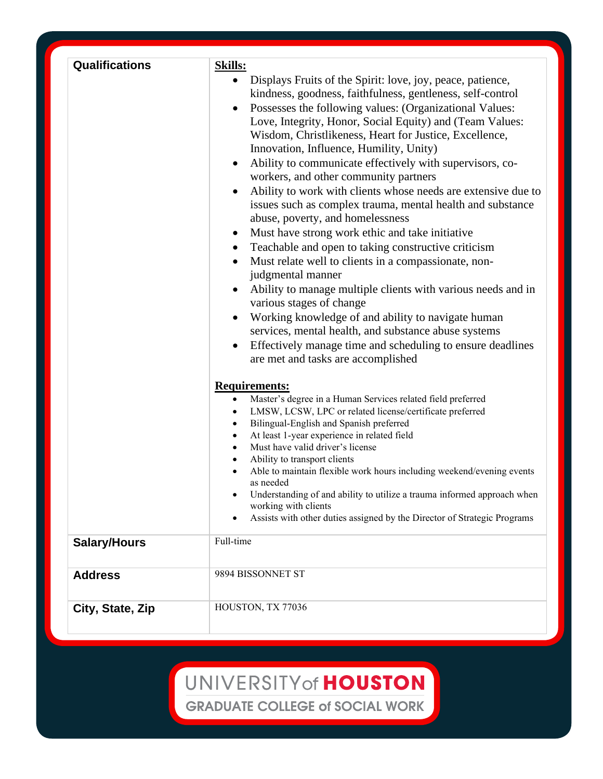| <b>Qualifications</b> | <b>Skills:</b><br>• Displays Fruits of the Spirit: love, joy, peace, patience,<br>kindness, goodness, faithfulness, gentleness, self-control<br>Possesses the following values: (Organizational Values:<br>$\bullet$<br>Love, Integrity, Honor, Social Equity) and (Team Values:<br>Wisdom, Christlikeness, Heart for Justice, Excellence,<br>Innovation, Influence, Humility, Unity)<br>Ability to communicate effectively with supervisors, co-<br>$\bullet$<br>workers, and other community partners<br>Ability to work with clients whose needs are extensive due to<br>$\bullet$<br>issues such as complex trauma, mental health and substance<br>abuse, poverty, and homelessness<br>Must have strong work ethic and take initiative<br>$\bullet$<br>Teachable and open to taking constructive criticism<br>٠<br>Must relate well to clients in a compassionate, non-<br>$\bullet$<br>judgmental manner<br>Ability to manage multiple clients with various needs and in<br>$\bullet$<br>various stages of change<br>Working knowledge of and ability to navigate human<br>services, mental health, and substance abuse systems |
|-----------------------|--------------------------------------------------------------------------------------------------------------------------------------------------------------------------------------------------------------------------------------------------------------------------------------------------------------------------------------------------------------------------------------------------------------------------------------------------------------------------------------------------------------------------------------------------------------------------------------------------------------------------------------------------------------------------------------------------------------------------------------------------------------------------------------------------------------------------------------------------------------------------------------------------------------------------------------------------------------------------------------------------------------------------------------------------------------------------------------------------------------------------------------|
|                       | Effectively manage time and scheduling to ensure deadlines<br>$\bullet$<br>are met and tasks are accomplished<br><b>Requirements:</b><br>Master's degree in a Human Services related field preferred<br>$\bullet$<br>LMSW, LCSW, LPC or related license/certificate preferred<br>Bilingual-English and Spanish preferred<br>At least 1-year experience in related field<br>Must have valid driver's license<br>Ability to transport clients<br>Able to maintain flexible work hours including weekend/evening events<br>as needed<br>Understanding of and ability to utilize a trauma informed approach when<br>working with clients<br>Assists with other duties assigned by the Director of Strategic Programs                                                                                                                                                                                                                                                                                                                                                                                                                     |
| <b>Salary/Hours</b>   | Full-time                                                                                                                                                                                                                                                                                                                                                                                                                                                                                                                                                                                                                                                                                                                                                                                                                                                                                                                                                                                                                                                                                                                            |
| <b>Address</b>        | 9894 BISSONNET ST                                                                                                                                                                                                                                                                                                                                                                                                                                                                                                                                                                                                                                                                                                                                                                                                                                                                                                                                                                                                                                                                                                                    |
| City, State, Zip      | HOUSTON, TX 77036                                                                                                                                                                                                                                                                                                                                                                                                                                                                                                                                                                                                                                                                                                                                                                                                                                                                                                                                                                                                                                                                                                                    |

## UNIVERSITY of HOUSTON

**GRADUATE COLLEGE of SOCIAL WORK**